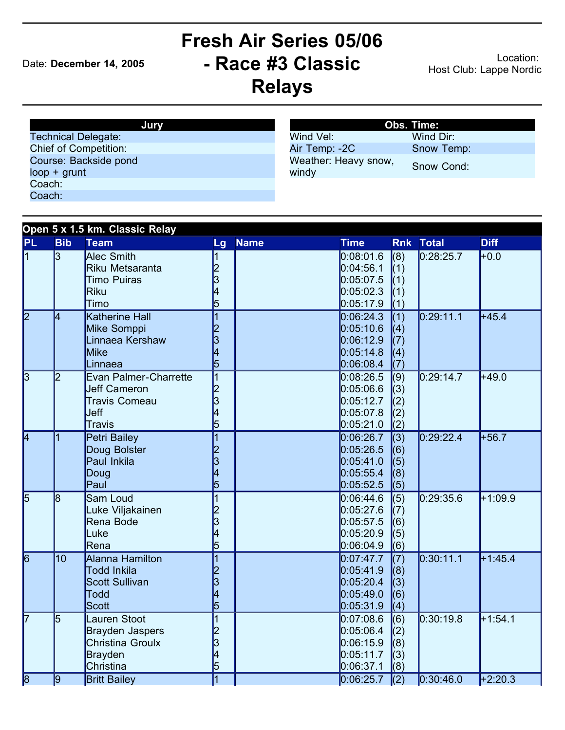## Date: **December 14, 2005**

## **Fresh Air Series 05/06 - Race #3 Classic Relays**

Location: Host Club: Lappe Nordic

| Jurv                         |  |
|------------------------------|--|
| <b>Technical Delegate:</b>   |  |
| <b>Chief of Competition:</b> |  |
| Course: Backside pond        |  |
| $loop + grunt$               |  |
| Coach:                       |  |
| Coach:                       |  |

|                               | Obs. Time: |
|-------------------------------|------------|
| Wind Vel:                     | Wind Dir:  |
| Air Temp: -2C                 | Snow Temp: |
| Weather: Heavy snow,<br>windy | Snow Cond: |

|                         |                | Open 5 x 1.5 km. Classic Relay                                                  |                                           |             |                                                               |                                              |                  |             |
|-------------------------|----------------|---------------------------------------------------------------------------------|-------------------------------------------|-------------|---------------------------------------------------------------|----------------------------------------------|------------------|-------------|
| <b>PL</b>               | <b>Bib</b>     | <b>Team</b>                                                                     | Lg                                        | <b>Name</b> | <b>Time</b>                                                   |                                              | <b>Rnk Total</b> | <b>Diff</b> |
| 1                       | $\overline{3}$ | Alec Smith<br>Riku Metsaranta<br><b>Timo Puiras</b><br><b>Riku</b><br>Timo      | $\frac{2}{3}$<br>4<br>5                   |             | 0.08:01.6<br>0:04:56.1<br>0:05:07.5<br>0.05:02.3<br>0:05:17.9 | (8)<br>(1)<br>(1)<br>(1)<br>(1)              | 0:28:25.7        | ⊩0.0        |
| $\overline{2}$          | 4              | Katherine Hall<br>Mike Somppi<br>Linnaea Kershaw<br>Mike<br>Linnaea             | 1<br>$\frac{2}{3}$<br>4<br>5              |             | 0:06:24.3<br>0.05:10.6<br>0.06:12.9<br>0:05:14.8<br>0:06:08.4 | (1)<br>(4)<br>(7)<br>(4)<br>(7)              | 0:29:11.1        | +45.4       |
| $\overline{3}$          | $\overline{2}$ | Evan Palmer-Charrette<br><b>Jeff Cameron</b><br>Travis Comeau<br>Ueff<br>Travis | $\overline{1}$<br>$\frac{2}{3}$<br>4<br>5 |             | 0.08:26.5<br>0.05:06.6<br>0:05:12.7<br>0.05:07.8<br>0:05:21.0 | $\overline{(9)}$<br>(3)<br>(2)<br>(2)<br>(2) | 0:29:14.7        | $+49.0$     |
| $\overline{\mathsf{4}}$ | 1              | Petri Bailey<br>Doug Bolster<br>Paul Inkila<br>Doug<br>Paul                     | $\overline{1}$<br>$\frac{2}{3}$<br>4<br>5 |             | 0:06:26.7<br>0:05:26.5<br>0.05:41.0<br>0:05:55.4<br>0:05:52.5 | (3)<br>(6)<br>(5)<br>(8)<br>(5)              | 0:29:22.4        | $+56.7$     |
| 5                       | l8             | Sam Loud<br>Luke Viljakainen<br>Rena Bode<br>Luke<br>Rena                       | 1<br>$\frac{2}{3}$<br>4<br>5              |             | 0.06:44.6<br>0.05:27.6<br>0:05:57.5<br>0:05:20.9<br>0.06:04.9 | $\overline{(5)}$<br>(7)<br>(6)<br>(5)<br>(6) | 0.29:35.6        | $+1:09.9$   |
| $\overline{6}$          | 10             | Alanna Hamilton<br>Todd Inkila<br>Scott Sullivan<br>Todd<br>Scott               | $\overline{1}$<br>$\frac{2}{3}$<br>4<br>5 |             | 0:07:47.7<br>0:05:41.9<br>0:05:20.4<br>0.05:49.0<br>0.05:31.9 | (7)<br>(8)<br>(3)<br>(6)<br>(4)              | 0:30:11.1        | $+1:45.4$   |
| 7                       | 5              | Lauren Stoot<br>Brayden Jaspers<br>Christina Groulx<br>Brayden<br>Christina     | 1<br>2<br>3<br> 4<br>5                    |             | 0.07:08.6<br>0:05:06.4<br>0.06:15.9<br>0:05:11.7<br>0:06:37.1 | (6)<br>(2)<br>(8)<br>(3)<br>(8)              | 0.30:19.8        | $+1:54.1$   |
| $\overline{8}$          | 19             | <b>Britt Bailey</b>                                                             | $\overline{\mathbf{1}}$                   |             | 0:06:25.7                                                     | $\sqrt{(2)}$                                 | 0.30:46.0        | $+2:20.3$   |